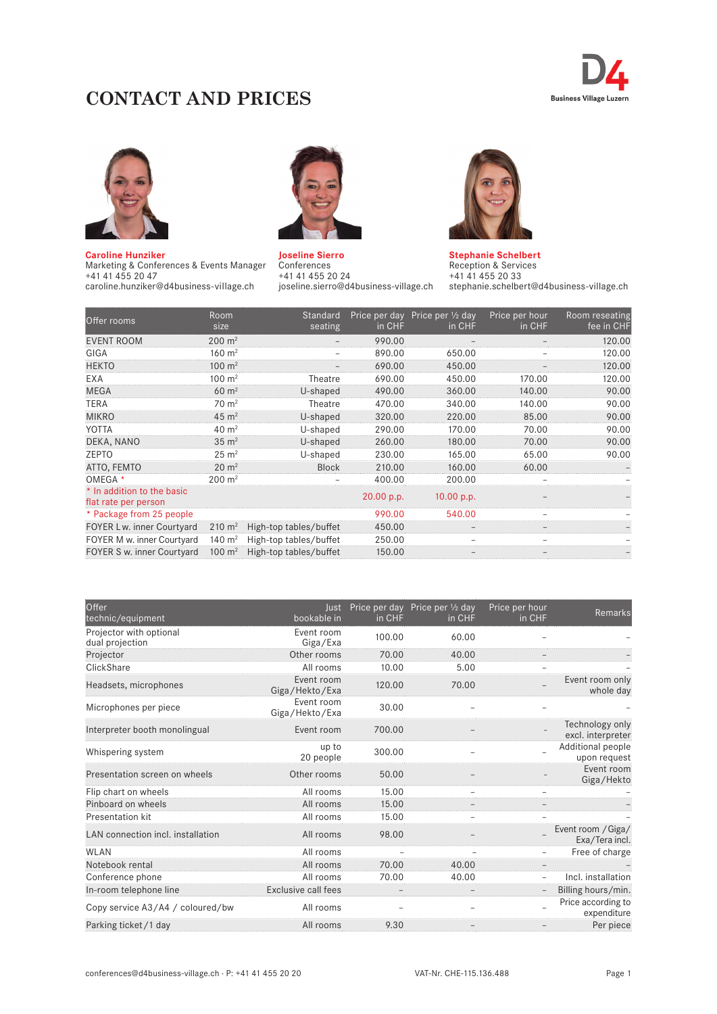# **CONTACT AND PRICES**





**Caroline Hunziker**  Marketing & Conferences & Events Manager +41 41 455 20 47 caroline.hunziker@d4business-village.ch



**Joseline Sierro**  Conferences +41 41 455 20 24 joseline.sierro@d4business-village.ch



**Stephanie Schelbert**  Reception & Services +41 41 455 20 33 stephanie.schelbert@d4business-village.ch

| Offer rooms                                        | Room<br>size        | Standard<br>seating    | in CHF     | Price per day Price per $\frac{1}{2}$ day<br>in CHF | Price per hour<br>in CHF | Room reseating<br>fee in CHF |
|----------------------------------------------------|---------------------|------------------------|------------|-----------------------------------------------------|--------------------------|------------------------------|
| <b>EVENT ROOM</b>                                  | $200 \; \text{m}^2$ |                        | 990.00     |                                                     |                          | 120.00                       |
| GIGA                                               | $160 \; \text{m}^2$ |                        | 890.00     | 650.00                                              |                          | 120.00                       |
| <b>HEKTO</b>                                       | $100 \; \text{m}^2$ |                        | 690.00     | 450.00                                              |                          | 120.00                       |
| EXA                                                | $100 \; \text{m}^2$ | Theatre                | 690.00     | 450.00                                              | 170.00                   | 120.00                       |
| <b>MEGA</b>                                        | $60 \; \text{m}^2$  | U-shaped               | 490.00     | 360.00                                              | 140.00                   | 90.00                        |
| <b>TERA</b>                                        | $70 \; \text{m}^2$  | Theatre                | 470.00     | 340.00                                              | 140.00                   | 90.00                        |
| <b>MIKRO</b>                                       | $45 \; \text{m}^2$  | U-shaped               | 320.00     | 220.00                                              | 85.00                    | 90.00                        |
| YOTTA                                              | $40 \text{ m}^2$    | U-shaped               | 290.00     | 170.00                                              | 70.00                    | 90.00                        |
| DEKA, NANO                                         | $35 \text{ m}^2$    | U-shaped               | 260.00     | 180.00                                              | 70.00                    | 90.00                        |
| ZEPTO                                              | $25 \text{ m}^2$    | U-shaped               | 230.00     | 165.00                                              | 65.00                    | 90.00                        |
| ATTO, FEMTO                                        | $20 \; \text{m}^2$  | <b>Block</b>           | 210.00     | 160.00                                              | 60.00                    |                              |
| OMEGA *                                            | $200 \; \text{m}^2$ |                        | 400.00     | 200.00                                              |                          |                              |
| * In addition to the basic<br>flat rate per person |                     |                        | 20.00 p.p. | 10.00 p.p.                                          |                          |                              |
| * Package from 25 people                           |                     |                        | 990.00     | 540.00                                              |                          |                              |
| FOYER Lw. inner Courtyard                          | $210 \; \text{m}^2$ | High-top tables/buffet | 450.00     |                                                     |                          |                              |
| FOYER M w. inner Courtyard                         | 140 $m2$            | High-top tables/buffet | 250.00     |                                                     |                          |                              |
| FOYER S w. inner Courtyard                         | 100 $m2$            | High-top tables/buffet | 150.00     |                                                     |                          |                              |

| Offer<br>technic/equipment                 | bookable in                  | in CHF | Just Price per day Price per 1/2 day<br>in CHF | Price per hour<br>in CHF | Remarks                              |
|--------------------------------------------|------------------------------|--------|------------------------------------------------|--------------------------|--------------------------------------|
| Projector with optional<br>dual projection | Event room<br>Giga/Exa       | 100.00 | 60.00                                          |                          |                                      |
| Projector                                  | Other rooms                  | 70.00  | 40.00                                          |                          |                                      |
| ClickShare                                 | All rooms                    | 10.00  | 5.00                                           |                          |                                      |
| Headsets, microphones                      | Event room<br>Giga/Hekto/Exa | 120.00 | 70.00                                          |                          | Event room only<br>whole day         |
| Microphones per piece                      | Event room<br>Giga/Hekto/Exa | 30.00  |                                                |                          |                                      |
| Interpreter booth monolingual              | Event room                   | 700.00 |                                                |                          | Technology only<br>excl. interpreter |
| Whispering system                          | up to<br>20 people           | 300.00 |                                                |                          | Additional people<br>upon request    |
| Presentation screen on wheels              | Other rooms                  | 50.00  |                                                |                          | Event room<br>Giga/Hekto             |
| Flip chart on wheels                       | All rooms                    | 15.00  |                                                |                          |                                      |
| Pinboard on wheels                         | All rooms                    | 15.00  |                                                |                          |                                      |
| Presentation kit                           | All rooms                    | 15.00  |                                                |                          |                                      |
| LAN connection incl. installation          | All rooms                    | 98.00  |                                                |                          | Event room / Giga/<br>Exa/Tera incl. |
| <b>WLAN</b>                                | All rooms                    |        |                                                |                          | Free of charge                       |
| Notebook rental                            | All rooms                    | 70.00  | 40.00                                          |                          |                                      |
| Conference phone                           | All rooms                    | 70.00  | 40.00                                          |                          | Incl. installation                   |
| In-room telephone line                     | Exclusive call fees          |        |                                                |                          | Billing hours/min.                   |
| Copy service A3/A4 / coloured/bw           | All rooms                    |        |                                                |                          | Price according to<br>expenditure    |
| Parking ticket /1 day                      | All rooms                    | 9.30   |                                                |                          | Per piece                            |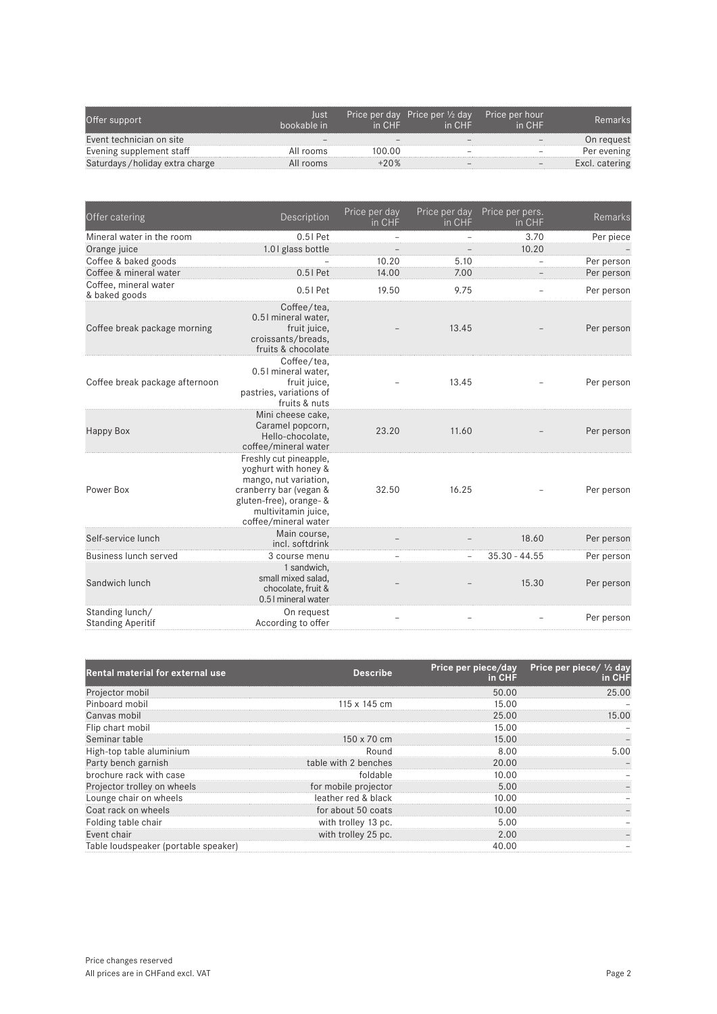| Offer support                    | lust<br>hookable in | in CHF | Price per day Price per 1/2 day<br>in CHF | Price per hour<br>in CHF |                |
|----------------------------------|---------------------|--------|-------------------------------------------|--------------------------|----------------|
| Event technician on site         |                     |        |                                           |                          | On reauest     |
| Evening supplement staff         | All rooms           | 100.00 |                                           |                          | Per evening    |
| Saturdays / holiday extra charge | All rooms           |        |                                           |                          | Excl. catering |

| Offer catering                              | Description                                                                                                                                                                 | Price per day<br>in CHF | Price per day<br>in CHF  | Price per pers.<br>in CHF | Remarks    |
|---------------------------------------------|-----------------------------------------------------------------------------------------------------------------------------------------------------------------------------|-------------------------|--------------------------|---------------------------|------------|
| Mineral water in the room                   | 0.51 Pet                                                                                                                                                                    |                         |                          | 3.70                      | Per piece  |
| Orange juice                                | 1.01 glass bottle                                                                                                                                                           |                         |                          | 10.20                     |            |
| Coffee & baked goods                        |                                                                                                                                                                             | 10.20                   | 5.10                     |                           | Per person |
| Coffee & mineral water                      | $0.51$ Pet                                                                                                                                                                  | 14.00                   | 7.00                     |                           | Per person |
| Coffee, mineral water<br>& baked goods      | $0.51$ Pet                                                                                                                                                                  | 19.50                   | 9.75                     |                           | Per person |
| Coffee break package morning                | Coffee/tea,<br>0.51 mineral water,<br>fruit juice,<br>croissants/breads,<br>fruits & chocolate                                                                              |                         | 13.45                    |                           | Per person |
| Coffee break package afternoon              | Coffee/tea.<br>0.51 mineral water.<br>fruit juice,<br>pastries, variations of<br>fruits & nuts                                                                              |                         | 13.45                    |                           | Per person |
| Happy Box                                   | Mini cheese cake.<br>Caramel popcorn,<br>Hello-chocolate.<br>coffee/mineral water                                                                                           | 23.20                   | 11.60                    |                           | Per person |
| Power Box                                   | Freshly cut pineapple,<br>yoghurt with honey &<br>mango, nut variation,<br>cranberry bar (vegan &<br>gluten-free), orange- &<br>multivitamin juice,<br>coffee/mineral water | 32.50                   | 16.25                    |                           | Per person |
| Self-service lunch                          | Main course,<br>incl. softdrink                                                                                                                                             |                         |                          | 18.60                     | Per person |
| Business lunch served                       | 3 course menu                                                                                                                                                               |                         | $\overline{\phantom{a}}$ | $35.30 - 44.55$           | Per person |
| Sandwich lunch                              | 1 sandwich,<br>small mixed salad,<br>chocolate, fruit &<br>0.5 I mineral water                                                                                              |                         |                          | 15.30                     | Per person |
| Standing lunch/<br><b>Standing Aperitif</b> | On request<br>According to offer                                                                                                                                            |                         |                          |                           | Per person |

| <b>Rental material for external use</b> | <b>Describe</b>      | Price per piece/day<br>in CHF | Price per piece/ $\frac{1}{2}$ day<br>in CHF |
|-----------------------------------------|----------------------|-------------------------------|----------------------------------------------|
| Projector mobil                         |                      | 50.00                         | 25.00                                        |
| Pinboard mobil                          | 115 $\times$ 145 cm  | 15.00                         |                                              |
| Canvas mobil                            |                      | 25.00                         | 15.00                                        |
| Flip chart mobil                        |                      | 15.00                         |                                              |
| Seminar table                           | $150 \times 70$ cm   | 15.00                         |                                              |
| High-top table aluminium                | Round                | 8.00                          | 5 N N                                        |
| Party bench garnish                     | table with 2 benches | 20.00                         |                                              |
| brochure rack with case                 | foldable             | 10.00                         |                                              |
| Projector trolley on wheels             | for mobile projector | 5.00                          |                                              |
| Lounge chair on wheels                  | leather red & black  | 10.00                         |                                              |
| Coat rack on wheels                     | for about 50 coats   | 10.00                         |                                              |
| Folding table chair                     | with trolley 13 pc.  | 5.00                          |                                              |
| Event chair                             | with trolley 25 pc.  | 2.00                          |                                              |
| Table loudspeaker (portable speaker)    |                      | 40.00                         |                                              |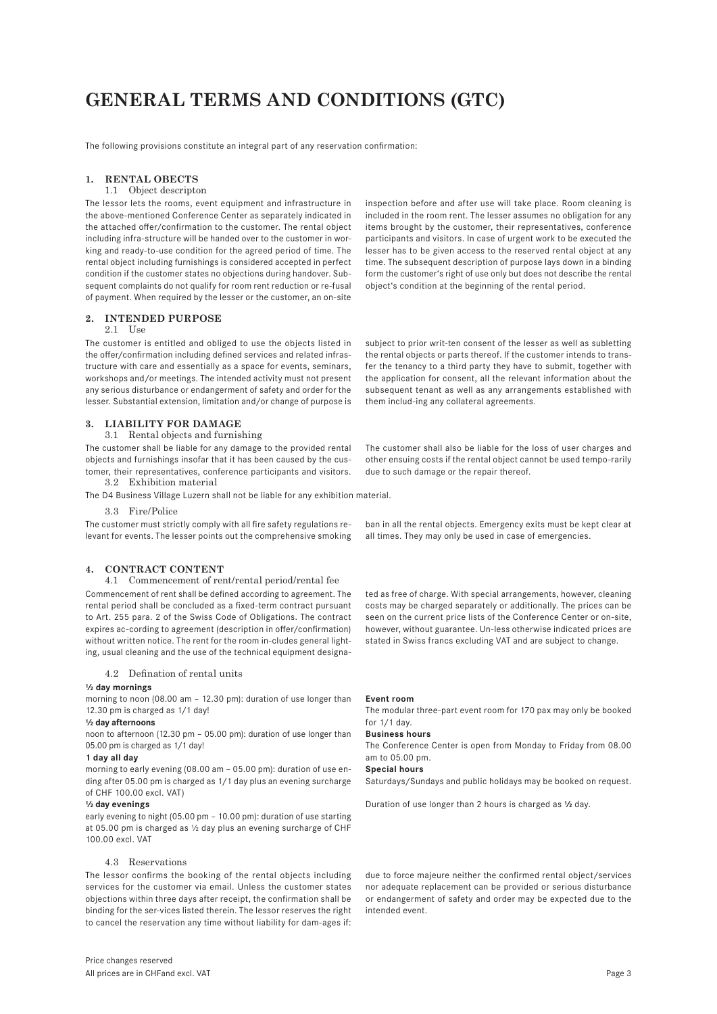# **GENERAL TERMS AND CONDITIONS (GTC)**

The following provisions constitute an integral part of any reservation confirmation:

# **1. RENTAL OBECTS**

# 1.1 Object descripton

The lessor lets the rooms, event equipment and infrastructure in the above-mentioned Conference Center as separately indicated in the attached offer/confirmation to the customer. The rental object including infra-structure will be handed over to the customer in working and ready-to-use condition for the agreed period of time. The rental object including furnishings is considered accepted in perfect condition if the customer states no objections during handover. Subsequent complaints do not qualify for room rent reduction or re-fusal of payment. When required by the lesser or the customer, an on-site

# **2. INTENDED PURPOSE**

#### $2.1$   $\text{He}_\text{2}$

The customer is entitled and obliged to use the objects listed in the offer/confirmation including defined services and related infrastructure with care and essentially as a space for events, seminars, workshops and/or meetings. The intended activity must not present any serious disturbance or endangerment of safety and order for the lesser. Substantial extension, limitation and/or change of purpose is

# **3. LIABILITY FOR DAMAGE**

#### 3.1 Rental objects and furnishing

The customer shall be liable for any damage to the provided rental objects and furnishings insofar that it has been caused by the customer, their representatives, conference participants and visitors. 3.2 Exhibition material

The D4 Business Village Luzern shall not be liable for any exhibition material.

# 3.3 Fire/Police

The customer must strictly comply with all fire safety regulations relevant for events. The lesser points out the comprehensive smoking

# **4. CONTRACT CONTENT**

4.1 Commencement of rent/rental period/rental fee Commencement of rent shall be defined according to agreement. The rental period shall be concluded as a fixed-term contract pursuant to Art. 255 para. 2 of the Swiss Code of Obligations. The contract expires ac-cording to agreement (description in offer/confirmation) without written notice. The rent for the room in-cludes general lighting, usual cleaning and the use of the technical equipment designa-

### 4.2 Defination of rental units

#### **½ day mornings**

morning to noon (08.00 am – 12.30 pm): duration of use longer than 12.30 pm is charged as 1/1 day!

#### **½ day afternoons**

noon to afternoon (12.30 pm – 05.00 pm): duration of use longer than 05.00 pm is charged as 1/1 day!

#### **1 day all day**

morning to early evening (08.00 am – 05.00 pm): duration of use ending after 05.00 pm is charged as 1/1 day plus an evening surcharge of CHF 100.00 excl. VAT)

#### **½ day evenings**

early evening to night (05.00 pm – 10.00 pm): duration of use starting at 05.00 pm is charged as ½ day plus an evening surcharge of CHF 100.00 excl. VAT

# 4.3 Reservations

The lessor confirms the booking of the rental objects including services for the customer via email. Unless the customer states objections within three days after receipt, the confirmation shall be binding for the ser-vices listed therein. The lessor reserves the right to cancel the reservation any time without liability for dam-ages if:

inspection before and after use will take place. Room cleaning is included in the room rent. The lesser assumes no obligation for any items brought by the customer, their representatives, conference participants and visitors. In case of urgent work to be executed the lesser has to be given access to the reserved rental object at any time. The subsequent description of purpose lays down in a binding form the customer's right of use only but does not describe the rental object's condition at the beginning of the rental period.

subject to prior writ-ten consent of the lesser as well as subletting the rental objects or parts thereof. If the customer intends to transfer the tenancy to a third party they have to submit, together with the application for consent, all the relevant information about the subsequent tenant as well as any arrangements established with them includ-ing any collateral agreements.

The customer shall also be liable for the loss of user charges and other ensuing costs if the rental object cannot be used tempo-rarily due to such damage or the repair thereof.

ban in all the rental objects. Emergency exits must be kept clear at all times. They may only be used in case of emergencies.

ted as free of charge. With special arrangements, however, cleaning costs may be charged separately or additionally. The prices can be seen on the current price lists of the Conference Center or on-site, however, without guarantee. Un-less otherwise indicated prices are stated in Swiss francs excluding VAT and are subject to change.

#### **Event room**

The modular three-part event room for 170 pax may only be booked for 1/1 day.

#### **Business hours**

The Conference Center is open from Monday to Friday from 08.00 am to 05.00 pm.

#### **Special hours**

Saturdays/Sundays and public holidays may be booked on request.

Duration of use longer than 2 hours is charged as **½** day.

due to force majeure neither the confirmed rental object/services nor adequate replacement can be provided or serious disturbance or endangerment of safety and order may be expected due to the intended event.